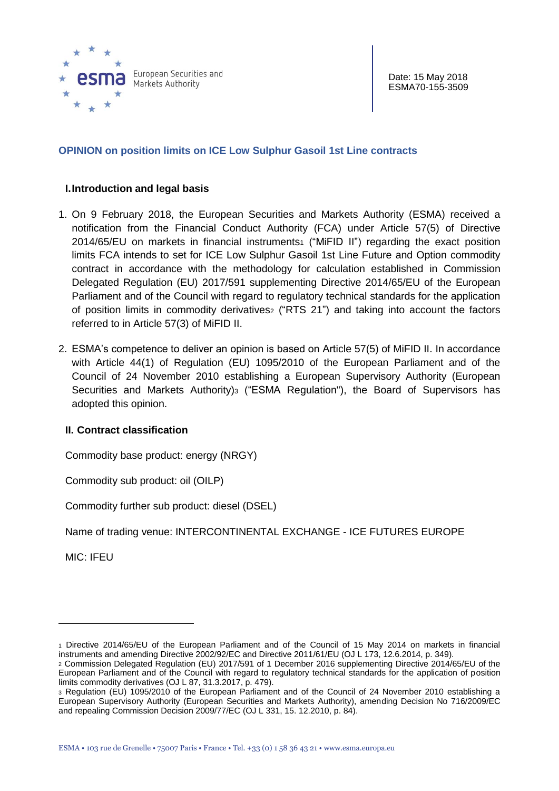

# **OPINION on position limits on ICE Low Sulphur Gasoil 1st Line contracts**

#### **I.Introduction and legal basis**

- 1. On 9 February 2018, the European Securities and Markets Authority (ESMA) received a notification from the Financial Conduct Authority (FCA) under Article 57(5) of [Directive](http://eur-lex.europa.eu/legal-content/EN/TXT/?uri=CELEX:32014L0065)   $2014/65/EU$  on markets in financial instruments<sub>1</sub> ("MiFID II") regarding the exact position limits FCA intends to set for ICE Low Sulphur Gasoil 1st Line Future and Option commodity contract in accordance with the methodology for calculation established in Commission Delegated Regulation (EU) 2017/591 supplementing Directive 2014/65/EU of the European Parliament and of the Council with regard to regulatory technical standards for the application of position limits in commodity derivatives<sub>2</sub> ("RTS 21") and taking into account the factors referred to in Article 57(3) of MiFID II.
- 2. ESMA's competence to deliver an opinion is based on Article 57(5) of MiFID II. In accordance with Article 44(1) of Regulation (EU) 1095/2010 of the European Parliament and of the Council of 24 November 2010 establishing a European Supervisory Authority (European Securities and Markets Authority)<sup>3</sup> ("ESMA Regulation"), the Board of Supervisors has adopted this opinion.

## **II. Contract classification**

Commodity base product: energy (NRGY)

Commodity sub product: oil (OILP)

Commodity further sub product: diesel (DSEL)

Name of trading venue: INTERCONTINENTAL EXCHANGE - ICE FUTURES EUROPE

MIC: IFEU

 $\overline{a}$ 

<sup>1</sup> Directive 2014/65/EU of the European Parliament and of the Council of 15 May 2014 on markets in financial instruments and amending Directive 2002/92/EC and Directive 2011/61/EU (OJ L 173, 12.6.2014, p. 349).

<sup>2</sup> Commission Delegated Regulation (EU) 2017/591 of 1 December 2016 supplementing Directive 2014/65/EU of the European Parliament and of the Council with regard to regulatory technical standards for the application of position limits commodity derivatives (OJ L 87, 31.3.2017, p. 479).

<sup>3</sup> Regulation (EU) 1095/2010 of the European Parliament and of the Council of 24 November 2010 establishing a European Supervisory Authority (European Securities and Markets Authority), amending Decision No 716/2009/EC and repealing Commission Decision 2009/77/EC (OJ L 331, 15. 12.2010, p. 84).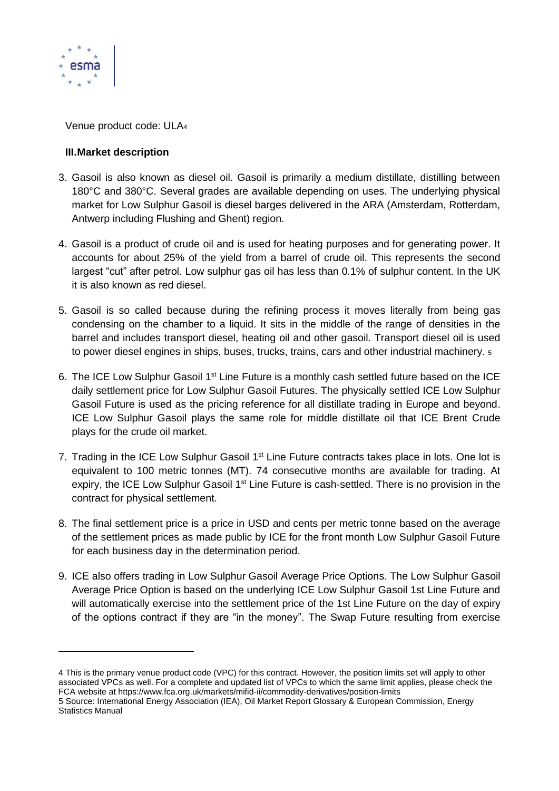

 $\overline{a}$ 

Venue product code: ULA<sup>4</sup>

# **III.Market description**

- 3. Gasoil is also known as diesel oil. Gasoil is primarily a medium distillate, distilling between 180°C and 380°C. Several grades are available depending on uses. The underlying physical market for Low Sulphur Gasoil is diesel barges delivered in the ARA (Amsterdam, Rotterdam, Antwerp including Flushing and Ghent) region.
- 4. Gasoil is a product of crude oil and is used for heating purposes and for generating power. It accounts for about 25% of the yield from a barrel of crude oil. This represents the second largest "cut" after petrol. Low sulphur gas oil has less than 0.1% of sulphur content. In the UK it is also known as red diesel.
- 5. Gasoil is so called because during the refining process it moves literally from being gas condensing on the chamber to a liquid. It sits in the middle of the range of densities in the barrel and includes transport diesel, heating oil and other gasoil. Transport diesel oil is used to power diesel engines in ships, buses, trucks, trains, cars and other industrial machinery.  $5$
- 6. The ICE Low Sulphur Gasoil 1<sup>st</sup> Line Future is a monthly cash settled future based on the ICE daily settlement price for Low Sulphur Gasoil Futures. The physically settled ICE Low Sulphur Gasoil Future is used as the pricing reference for all distillate trading in Europe and beyond. ICE Low Sulphur Gasoil plays the same role for middle distillate oil that ICE Brent Crude plays for the crude oil market.
- 7. Trading in the ICE Low Sulphur Gasoil 1<sup>st</sup> Line Future contracts takes place in lots. One lot is equivalent to 100 metric tonnes (MT). 74 consecutive months are available for trading. At expiry, the ICE Low Sulphur Gasoil 1<sup>st</sup> Line Future is cash-settled. There is no provision in the contract for physical settlement.
- 8. The final settlement price is a price in USD and cents per metric tonne based on the average of the settlement prices as made public by ICE for the front month Low Sulphur Gasoil Future for each business day in the determination period.
- 9. ICE also offers trading in Low Sulphur Gasoil Average Price Options. The Low Sulphur Gasoil Average Price Option is based on the underlying ICE Low Sulphur Gasoil 1st Line Future and will automatically exercise into the settlement price of the 1st Line Future on the day of expiry of the options contract if they are "in the money". The Swap Future resulting from exercise

<sup>4</sup> This is the primary venue product code (VPC) for this contract. However, the position limits set will apply to other associated VPCs as well. For a complete and updated list of VPCs to which the same limit applies, please check the FCA website at https://www.fca.org.uk/markets/mifid-ii/commodity-derivatives/position-limits

<sup>5</sup> Source: International Energy Association (IEA), Oil Market Report Glossary & European Commission, Energy Statistics Manual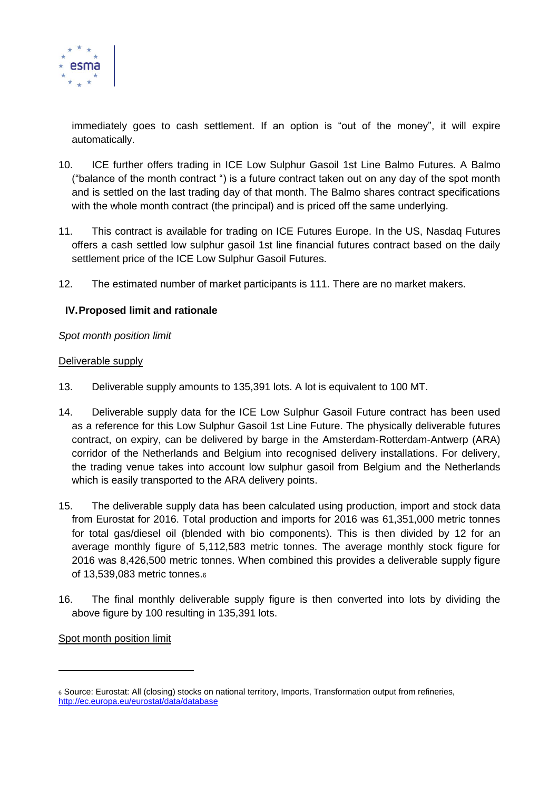

immediately goes to cash settlement. If an option is "out of the money", it will expire automatically.

- 10. ICE further offers trading in ICE Low Sulphur Gasoil 1st Line Balmo Futures. A Balmo ("balance of the month contract ") is a future contract taken out on any day of the spot month and is settled on the last trading day of that month. The Balmo shares contract specifications with the whole month contract (the principal) and is priced off the same underlying.
- 11. This contract is available for trading on ICE Futures Europe. In the US, Nasdaq Futures offers a cash settled low sulphur gasoil 1st line financial futures contract based on the daily settlement price of the ICE Low Sulphur Gasoil Futures.
- 12. The estimated number of market participants is 111. There are no market makers.

# **IV.Proposed limit and rationale**

## *Spot month position limit*

#### Deliverable supply

- 13. Deliverable supply amounts to 135,391 lots. A lot is equivalent to 100 MT.
- 14. Deliverable supply data for the ICE Low Sulphur Gasoil Future contract has been used as a reference for this Low Sulphur Gasoil 1st Line Future. The physically deliverable futures contract, on expiry, can be delivered by barge in the Amsterdam-Rotterdam-Antwerp (ARA) corridor of the Netherlands and Belgium into recognised delivery installations. For delivery, the trading venue takes into account low sulphur gasoil from Belgium and the Netherlands which is easily transported to the ARA delivery points.
- 15. The deliverable supply data has been calculated using production, import and stock data from Eurostat for 2016. Total production and imports for 2016 was 61,351,000 metric tonnes for total gas/diesel oil (blended with bio components). This is then divided by 12 for an average monthly figure of 5,112,583 metric tonnes. The average monthly stock figure for 2016 was 8,426,500 metric tonnes. When combined this provides a deliverable supply figure of 13,539,083 metric tonnes.<sup>6</sup>
- 16. The final monthly deliverable supply figure is then converted into lots by dividing the above figure by 100 resulting in 135,391 lots.

## Spot month position limit

 $\overline{a}$ 

<sup>6</sup> Source: Eurostat: All (closing) stocks on national territory, Imports, Transformation output from refineries, <http://ec.europa.eu/eurostat/data/database>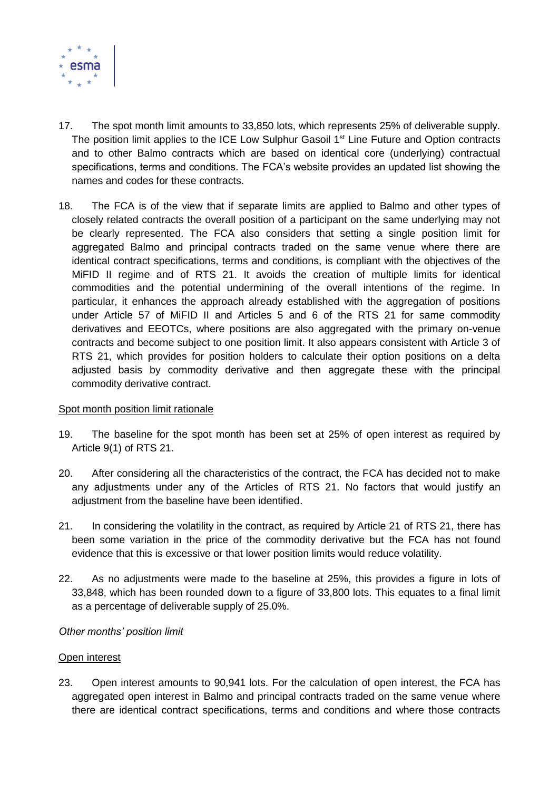

- 17. The spot month limit amounts to 33,850 lots, which represents 25% of deliverable supply. The position limit applies to the ICE Low Sulphur Gasoil 1<sup>st</sup> Line Future and Option contracts and to other Balmo contracts which are based on identical core (underlying) contractual specifications, terms and conditions. The FCA's website provides an updated list showing the names and codes for these contracts.
- 18. The FCA is of the view that if separate limits are applied to Balmo and other types of closely related contracts the overall position of a participant on the same underlying may not be clearly represented. The FCA also considers that setting a single position limit for aggregated Balmo and principal contracts traded on the same venue where there are identical contract specifications, terms and conditions, is compliant with the objectives of the MiFID II regime and of RTS 21. It avoids the creation of multiple limits for identical commodities and the potential undermining of the overall intentions of the regime. In particular, it enhances the approach already established with the aggregation of positions under Article 57 of MiFID II and Articles 5 and 6 of the RTS 21 for same commodity derivatives and EEOTCs, where positions are also aggregated with the primary on-venue contracts and become subject to one position limit. It also appears consistent with Article 3 of RTS 21, which provides for position holders to calculate their option positions on a delta adjusted basis by commodity derivative and then aggregate these with the principal commodity derivative contract.

## Spot month position limit rationale

- 19. The baseline for the spot month has been set at 25% of open interest as required by Article 9(1) of RTS 21.
- 20. After considering all the characteristics of the contract, the FCA has decided not to make any adjustments under any of the Articles of RTS 21. No factors that would justify an adjustment from the baseline have been identified.
- 21. In considering the volatility in the contract, as required by Article 21 of RTS 21, there has been some variation in the price of the commodity derivative but the FCA has not found evidence that this is excessive or that lower position limits would reduce volatility.
- 22. As no adjustments were made to the baseline at 25%, this provides a figure in lots of 33,848, which has been rounded down to a figure of 33,800 lots. This equates to a final limit as a percentage of deliverable supply of 25.0%.

## *Other months' position limit*

#### Open interest

23. Open interest amounts to 90,941 lots. For the calculation of open interest, the FCA has aggregated open interest in Balmo and principal contracts traded on the same venue where there are identical contract specifications, terms and conditions and where those contracts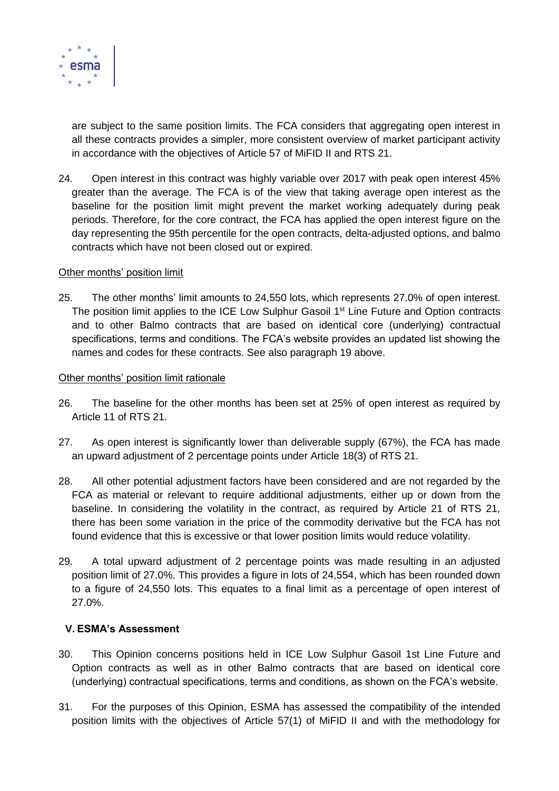

are subject to the same position limits. The FCA considers that aggregating open interest in all these contracts provides a simpler, more consistent overview of market participant activity in accordance with the objectives of Article 57 of MiFID II and RTS 21.

24. Open interest in this contract was highly variable over 2017 with peak open interest 45% greater than the average. The FCA is of the view that taking average open interest as the baseline for the position limit might prevent the market working adequately during peak periods. Therefore, for the core contract, the FCA has applied the open interest figure on the day representing the 95th percentile for the open contracts, delta-adjusted options, and balmo contracts which have not been closed out or expired.

## Other months' position limit

25. The other months' limit amounts to 24,550 lots, which represents 27.0% of open interest. The position limit applies to the ICE Low Sulphur Gasoil 1<sup>st</sup> Line Future and Option contracts and to other Balmo contracts that are based on identical core (underlying) contractual specifications, terms and conditions. The FCA's website provides an updated list showing the names and codes for these contracts. See also paragraph 19 above.

#### Other months' position limit rationale

- 26. The baseline for the other months has been set at 25% of open interest as required by Article 11 of RTS 21.
- 27. As open interest is significantly lower than deliverable supply (67%), the FCA has made an upward adjustment of 2 percentage points under Article 18(3) of RTS 21.
- 28. All other potential adjustment factors have been considered and are not regarded by the FCA as material or relevant to require additional adjustments, either up or down from the baseline. In considering the volatility in the contract, as required by Article 21 of RTS 21, there has been some variation in the price of the commodity derivative but the FCA has not found evidence that this is excessive or that lower position limits would reduce volatility.
- 29. A total upward adjustment of 2 percentage points was made resulting in an adjusted position limit of 27.0%. This provides a figure in lots of 24,554, which has been rounded down to a figure of 24,550 lots. This equates to a final limit as a percentage of open interest of 27.0%.

## **V. ESMA's Assessment**

- 30. This Opinion concerns positions held in ICE Low Sulphur Gasoil 1st Line Future and Option contracts as well as in other Balmo contracts that are based on identical core (underlying) contractual specifications, terms and conditions, as shown on the FCA's website.
- 31. For the purposes of this Opinion, ESMA has assessed the compatibility of the intended position limits with the objectives of Article 57(1) of MiFID II and with the methodology for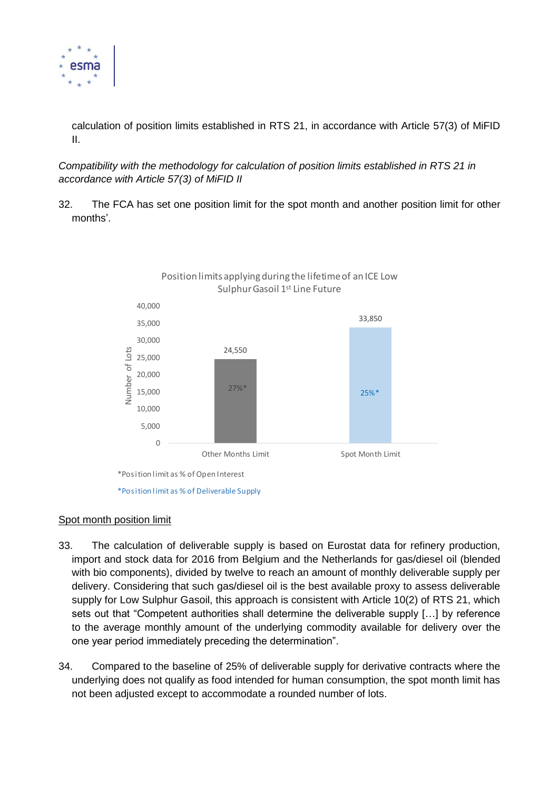

calculation of position limits established in RTS 21, in accordance with Article 57(3) of MiFID II.

*Compatibility with the methodology for calculation of position limits established in RTS 21 in accordance with Article 57(3) of MiFID II*

32. The FCA has set one position limit for the spot month and another position limit for other months'.



#### Spot month position limit

- 33. The calculation of deliverable supply is based on Eurostat data for refinery production, import and stock data for 2016 from Belgium and the Netherlands for gas/diesel oil (blended with bio components), divided by twelve to reach an amount of monthly deliverable supply per delivery. Considering that such gas/diesel oil is the best available proxy to assess deliverable supply for Low Sulphur Gasoil, this approach is consistent with Article 10(2) of RTS 21, which sets out that "Competent authorities shall determine the deliverable supply […] by reference to the average monthly amount of the underlying commodity available for delivery over the one year period immediately preceding the determination".
- 34. Compared to the baseline of 25% of deliverable supply for derivative contracts where the underlying does not qualify as food intended for human consumption, the spot month limit has not been adjusted except to accommodate a rounded number of lots.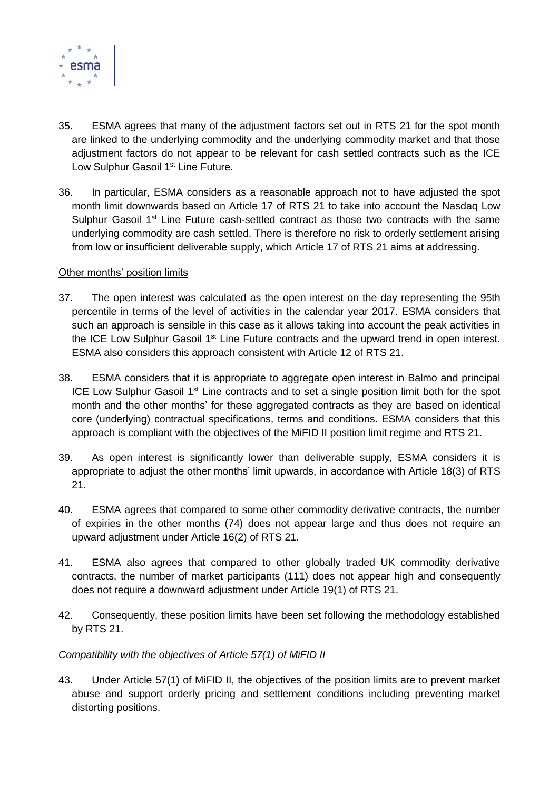

- 35. ESMA agrees that many of the adjustment factors set out in RTS 21 for the spot month are linked to the underlying commodity and the underlying commodity market and that those adjustment factors do not appear to be relevant for cash settled contracts such as the ICE Low Sulphur Gasoil 1<sup>st</sup> Line Future.
- 36. In particular, ESMA considers as a reasonable approach not to have adjusted the spot month limit downwards based on Article 17 of RTS 21 to take into account the Nasdaq Low Sulphur Gasoil  $1<sup>st</sup>$  Line Future cash-settled contract as those two contracts with the same underlying commodity are cash settled. There is therefore no risk to orderly settlement arising from low or insufficient deliverable supply, which Article 17 of RTS 21 aims at addressing.

## Other months' position limits

- 37. The open interest was calculated as the open interest on the day representing the 95th percentile in terms of the level of activities in the calendar year 2017. ESMA considers that such an approach is sensible in this case as it allows taking into account the peak activities in the ICE Low Sulphur Gasoil 1<sup>st</sup> Line Future contracts and the upward trend in open interest. ESMA also considers this approach consistent with Article 12 of RTS 21.
- 38. ESMA considers that it is appropriate to aggregate open interest in Balmo and principal ICE Low Sulphur Gasoil 1<sup>st</sup> Line contracts and to set a single position limit both for the spot month and the other months' for these aggregated contracts as they are based on identical core (underlying) contractual specifications, terms and conditions. ESMA considers that this approach is compliant with the objectives of the MiFID II position limit regime and RTS 21.
- 39. As open interest is significantly lower than deliverable supply, ESMA considers it is appropriate to adjust the other months' limit upwards, in accordance with Article 18(3) of RTS 21.
- 40. ESMA agrees that compared to some other commodity derivative contracts, the number of expiries in the other months (74) does not appear large and thus does not require an upward adjustment under Article 16(2) of RTS 21.
- 41. ESMA also agrees that compared to other globally traded UK commodity derivative contracts, the number of market participants (111) does not appear high and consequently does not require a downward adjustment under Article 19(1) of RTS 21.
- 42. Consequently, these position limits have been set following the methodology established by RTS 21.

## *Compatibility with the objectives of Article 57(1) of MiFID II*

43. Under Article 57(1) of MiFID II, the objectives of the position limits are to prevent market abuse and support orderly pricing and settlement conditions including preventing market distorting positions.